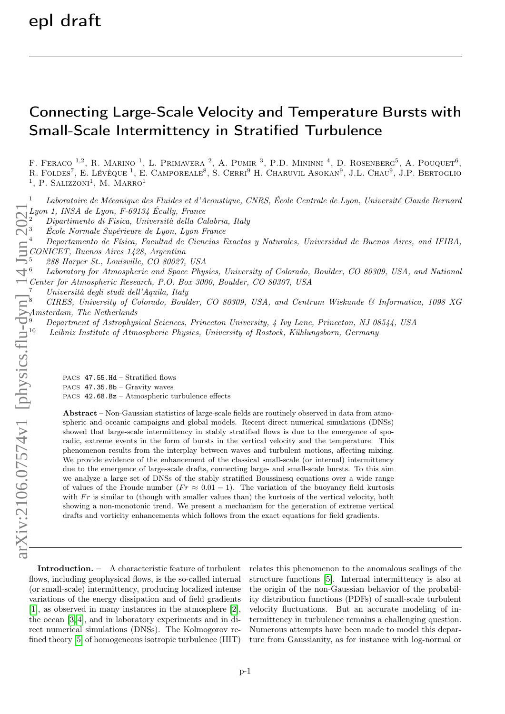## Connecting Large-Scale Velocity and Temperature Bursts with Small-Scale Intermittency in Stratified Turbulence

F. FERACO <sup>1,2</sup>, R. MARINO <sup>1</sup>, L. PRIMAVERA <sup>2</sup>, A. PUMIR <sup>3</sup>, P.D. MININNI <sup>4</sup>, D. ROSENBERG<sup>5</sup>, A. POUQUET<sup>6</sup>, R. FOLDES<sup>7</sup>, E. LÉVÊQUE<sup>1</sup>, E. CAMPOREALE<sup>8</sup>, S. CERRI<sup>9</sup> H. CHARUVIL ASOKAN<sup>9</sup>, J.L. CHAU<sup>9</sup>, J.P. BERTOGLIO <sup>1</sup>, P. SALIZZONI<sup>1</sup>, M. MARRO<sup>1</sup>

 $1$  Laboratoire de Mécanique des Fluides et d'Acoustique, CNRS, École Centrale de Lyon, Université Claude Bernard Lyon 1, INSA de Lyon, F-69134 Écully, France

<sup>2</sup> Dipartimento di Fisica, Università della Calabria, Italy

<sup>3</sup> École Normale Supérieure de Lyon, Lyon France

<sup>4</sup> Departamento de Física, Facultad de Ciencias Exactas y Naturales, Universidad de Buenos Aires, and IFIBA, CONICET, Buenos Aires 1428, Argentina

<sup>5</sup> 288 Harper St., Louisville, CO 80027, USA

<sup>6</sup> Laboratory for Atmospheric and Space Physics, University of Colorado, Boulder, CO 80309, USA, and National Center for Atmospheric Research, P.O. Box 3000, Boulder, CO 80307, USA

<sup>7</sup> Università degli studi dell'Aquila, Italy

<sup>8</sup> CIRES, University of Colorado, Boulder, CO 80309, USA, and Centrum Wiskunde & Informatica, 1098 XG Amsterdam, The Netherlands

<sup>9</sup> Department of Astrophysical Sciences, Princeton University, 4 Ivy Lane, Princeton, NJ 08544, USA

<sup>10</sup> Leibniz Institute of Atmospheric Physics, University of Rostock, Kühlungsborn, Germany

PACS 47.55.Hd – Stratified flows PACS 47.35.Bb – Gravity waves PACS 42.68.Bz – Atmospheric turbulence effects

Abstract – Non-Gaussian statistics of large-scale fields are routinely observed in data from atmospheric and oceanic campaigns and global models. Recent direct numerical simulations (DNSs) showed that large-scale intermittency in stably stratified flows is due to the emergence of sporadic, extreme events in the form of bursts in the vertical velocity and the temperature. This phenomenon results from the interplay between waves and turbulent motions, affecting mixing. We provide evidence of the enhancement of the classical small-scale (or internal) intermittency due to the emergence of large-scale drafts, connecting large- and small-scale bursts. To this aim we analyze a large set of DNSs of the stably stratified Boussinesq equations over a wide range of values of the Froude number  $(Fr \approx 0.01 - 1)$ . The variation of the buoyancy field kurtosis with  $Fr$  is similar to (though with smaller values than) the kurtosis of the vertical velocity, both showing a non-monotonic trend. We present a mechanism for the generation of extreme vertical drafts and vorticity enhancements which follows from the exact equations for field gradients.

Introduction. – A characteristic feature of turbulent flows, including geophysical flows, is the so-called internal (or small-scale) intermittency, producing localized intense variations of the energy dissipation and of field gradients [\[1\]](#page-6-0), as observed in many instances in the atmosphere [\[2\]](#page-6-1), the ocean [\[3,](#page-6-2) [4\]](#page-6-3), and in laboratory experiments and in direct numerical simulations (DNSs). The Kolmogorov refined theory [\[5\]](#page-6-4) of homogeneous isotropic turbulence (HIT)

relates this phenomenon to the anomalous scalings of the structure functions [\[5\]](#page-6-4). Internal intermittency is also at the origin of the non-Gaussian behavior of the probability distribution functions (PDFs) of small-scale turbulent velocity fluctuations. But an accurate modeling of intermittency in turbulence remains a challenging question. Numerous attempts have been made to model this departure from Gaussianity, as for instance with log-normal or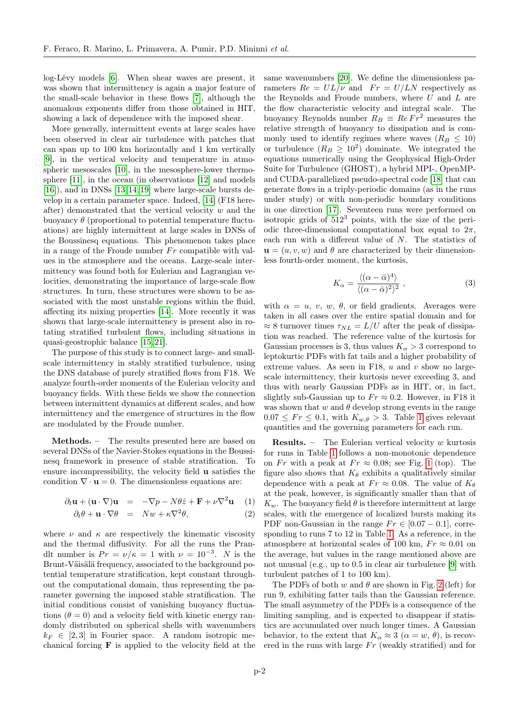log-Lévy models [\[6\]](#page-6-5). When shear waves are present, it was shown that intermittency is again a major feature of the small-scale behavior in these flows [\[7\]](#page-6-6), although the anomalous exponents differ from those obtained in HIT, showing a lack of dependence with the imposed shear.

More generally, intermittent events at large scales have been observed in clear air turbulence with patches that can span up to 100 km horizontally and 1 km vertically [\[9\]](#page-6-7), in the vertical velocity and temperature in atmospheric mesoscales [\[10\]](#page-6-8), in the mesosphere-lower thermosphere [\[11\]](#page-6-9), in the ocean (in observations [\[12\]](#page-6-10) and models [\[16\]](#page-6-11)), and in DNSs [\[13,](#page-6-12)[14,](#page-6-13)[19\]](#page-6-14) where large-scale bursts develop in a certain parameter space. Indeed, [\[14\]](#page-6-13) (F18 hereafter) demonstrated that the vertical velocity  $w$  and the buoyancy  $\theta$  (proportional to potential temperature fluctuations) are highly intermittent at large scales in DNSs of the Boussinesq equations. This phenomenon takes place in a range of the Froude number  $Fr$  compatible with values in the atmosphere and the oceans. Large-scale intermittency was found both for Eulerian and Lagrangian velocities, demonstrating the importance of large-scale flow structures. In turn, these structures were shown to be associated with the most unstable regions within the fluid, affecting its mixing properties [\[14\]](#page-6-13). More recently it was shown that large-scale intermittency is present also in rotating stratified turbulent flows, including situations in quasi-geostrophic balance [\[15,](#page-6-15) [21\]](#page-6-16).

The purpose of this study is to connect large- and smallscale intermittency in stably stratified turbulence, using the DNS database of purely stratified flows from F18. We analyze fourth-order moments of the Eulerian velocity and buoyancy fields. With these fields we show the connection between intermittent dynamics at different scales, and how intermittency and the emergence of structures in the flow are modulated by the Froude number.

Methods. – The results presented here are based on several DNSs of the Navier-Stokes equations in the Boussinesq framework in presence of stable stratification. To ensure incompressibility, the velocity field u satisfies the condition  $\nabla \cdot \mathbf{u} = 0$ . The dimensionless equations are:

<span id="page-1-0"></span>
$$
\partial_t \mathbf{u} + (\mathbf{u} \cdot \nabla) \mathbf{u} = -\nabla p - N\theta \hat{z} + \mathbf{F} + \nu \nabla^2 \mathbf{u} \quad (1)
$$

$$
\partial_t \theta + \mathbf{u} \cdot \nabla \theta = Nw + \kappa \nabla^2 \theta, \tag{2}
$$

where  $\nu$  and  $\kappa$  are respectively the kinematic viscosity and the thermal diffusivity. For all the runs the Prandlt number is  $Pr = \nu/\kappa = 1$  with  $\nu = 10^{-3}$ . N is the Brunt-Väisälä frequency, associated to the background potential temperature stratification, kept constant throughout the computational domain, thus representing the parameter governing the imposed stable stratification. The initial conditions consist of vanishing buoyancy fluctuations  $(\theta = 0)$  and a velocity field with kinetic energy randomly distributed on spherical shells with wavenumbers  $k_F \in [2, 3]$  in Fourier space. A random isotropic mechanical forcing F is applied to the velocity field at the

same wavenumbers [\[20\]](#page-6-17). We define the dimensionless parameters  $Re = UL/\nu$  and  $Fr = U/LN$  respectively as the Reynolds and Froude numbers, where  $U$  and  $L$  are the flow characteristic velocity and integral scale. The buoyancy Reynolds number  $R_B \equiv Re Fr^2$  measures the relative strength of buoyancy to dissipation and is commonly used to identify regimes where waves  $(R_B \leq 10)$ or turbulence  $(R_B \geq 10^2)$  dominate. We integrated the equations numerically using the Geophysical High-Order Suite for Turbulence (GHOST), a hybrid MPI-, OpenMPand CUDA-parallelized pseudo-spectral code [\[18\]](#page-6-18) that can generate flows in a triply-periodic domains (as in the runs under study) or with non-periodic boundary conditions in one direction [\[17\]](#page-6-19). Seventeen runs were performed on isotropic grids of  $512<sup>3</sup>$  points, with the size of the periodic three-dimensional computational box equal to  $2\pi$ , each run with a different value of N. The statistics of  $\mathbf{u} = (u, v, w)$  and  $\theta$  are characterized by their dimensionless fourth-order moment, the kurtosis,

$$
K_{\alpha} = \frac{\langle (\alpha - \bar{\alpha})^4 \rangle}{\langle (\alpha - \bar{\alpha})^2 \rangle^2}, \qquad (3)
$$

with  $\alpha = u, v, w, \theta$ , or field gradients. Averages were taken in all cases over the entire spatial domain and for  $\approx 8$  turnover times  $\tau_{NL} = L/U$  after the peak of dissipation was reached. The reference value of the kurtosis for Gaussian processes is 3, thus values  $K_{\alpha} > 3$  correspond to leptokurtic PDFs with fat tails and a higher probability of extreme values. As seen in F18,  $u$  and  $v$  show no largescale intermittency, their kurtosis never exceeding 3, and thus with nearly Gaussian PDFs as in HIT, or, in fact, slightly sub-Gaussian up to  $Fr \approx 0.2$ . However, in F18 it was shown that  $w$  and  $\theta$  develop strong events in the range  $0.07 \leq Fr \leq 0.1$ , with  $K_{w,\theta} > 3$ . Table [1](#page-2-0) gives relevant quantities and the governing parameters for each run.

**Results.** – The Eulerian vertical velocity w kurtosis for runs in Table [1](#page-2-0) follows a non-monotonic dependence on Fr with a peak at  $Fr \approx 0.08$ ; see Fig. [1](#page-2-1) (top). The figure also shows that  $K_{\theta}$  exhibits a qualitatively similar dependence with a peak at  $Fr \approx 0.08$ . The value of  $K_{\theta}$ at the peak, however, is significantly smaller than that of  $K_w$ . The buoyancy field  $\theta$  is therefore intermittent at large scales, with the emergence of localized bursts making its PDF non-Gaussian in the range  $Fr \in [0.07 - 0.1]$ , corresponding to runs 7 to 12 in Table [1.](#page-2-0) As a reference, in the atmosphere at horizontal scales of 100 km,  $Fr \approx 0.01$  on the average, but values in the range mentioned above are not unusual (e.g., up to 0.5 in clear air turbulence [\[9\]](#page-6-7) with turbulent patches of 1 to 100 km).

The PDFs of both w and  $\theta$  are shown in Fig. [2](#page-3-0) (left) for run 9, exhibiting fatter tails than the Gaussian reference. The small asymmetry of the PDFs is a consequence of the limiting sampling, and is expected to disappear if statistics are accumulated over much longer times. A Gaussian behavior, to the extent that  $K_{\alpha} \approx 3 \ (\alpha = w, \ \theta)$ , is recovered in the runs with large  $Fr$  (weakly stratified) and for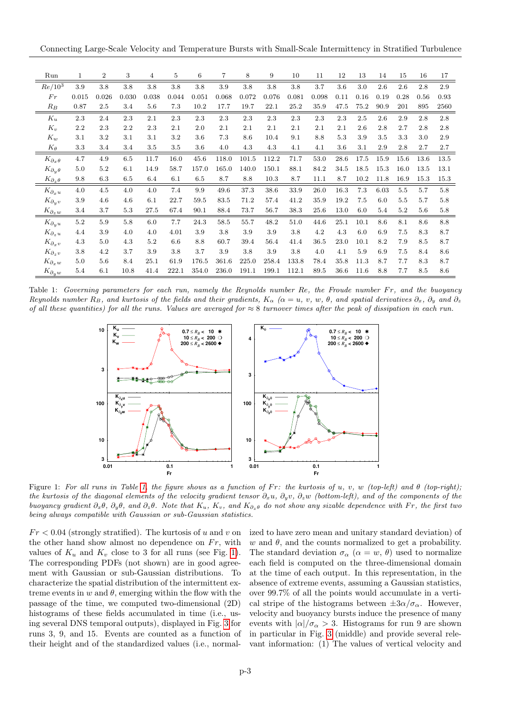Connecting Large-Scale Velocity and Temperature Bursts with Small-Scale Intermittency in Stratified Turbulence

| Run                                         | $\mathbf 1$ | $\boldsymbol{2}$ | 3       | 4     | 5     | 6       | 7       | 8     | 9     | 10    | 11    | 12   | 13   | 14   | 15   | 16   | 17   |
|---------------------------------------------|-------------|------------------|---------|-------|-------|---------|---------|-------|-------|-------|-------|------|------|------|------|------|------|
| $Re/10^3$                                   | 3.9         | 3.8              | 3.8     | 3.8   | 3.8   | 3.8     | 3.9     | 3.8   | 3.8   | 3.8   | 3.7   | 3.6  | 3.0  | 2.6  | 2.6  | 2.8  | 2.9  |
| Fr                                          | 0.015       | 0.026            | 0.030   | 0.038 | 0.044 | 0.051   | 0.068   | 0.072 | 0.076 | 0.081 | 0.098 | 0.11 | 0.16 | 0.19 | 0.28 | 0.56 | 0.93 |
| $R_B$                                       | 0.87        | 2.5              | 3.4     | 5.6   | 7.3   | 10.2    | 17.7    | 19.7  | 22.1  | 25.2  | 35.9  | 47.5 | 75.2 | 90.9 | 201  | 895  | 2560 |
| $K_u$                                       | 2.3         | 2.4              | 2.3     | 2.1   | 2.3   | 2.3     | 2.3     | 2.3   | 2.3   | 2.3   | 2.3   | 2.3  | 2.5  | 2.6  | 2.9  | 2.8  | 2.8  |
| $K_v$                                       | 2.2         | 2.3              | 2.2     | 2.3   | 2.1   | 2.0     | 2.1     | 2.1   | 2.1   | 2.1   | 2.1   | 2.1  | 2.6  | 2.8  | 2.7  | 2.8  | 2.8  |
| $K_w$                                       | 3.1         | $3.2\,$          | 3.1     | 3.1   | 3.2   | 3.6     | $7.3\,$ | 8.6   | 10.4  | 9.1   | 8.8   | 5.3  | 3.9  | 3.5  | 3.3  | 3.0  | 2.9  |
| $K_{\theta}$                                | $3.3\,$     | 3.4              | 3.4     | 3.5   | 3.5   | 3.6     | 4.0     | 4.3   | 4.3   | 4.1   | 4.1   | 3.6  | 3.1  | 2.9  | 2.8  | 2.7  | 2.7  |
| $K_{\partial_x \theta}$                     | 4.7         | 4.9              | 6.5     | 11.7  | 16.0  | 45.6    | 118.0   | 101.5 | 112.2 | 71.7  | 53.0  | 28.6 | 17.5 | 15.9 | 15.6 | 13.6 | 13.5 |
| $K_{\partial_u \theta}$                     | 5.0         | 5.2              | 6.1     | 14.9  | 58.7  | 157.0   | 165.0   | 140.0 | 150.1 | 88.1  | 84.2  | 34.5 | 18.5 | 15.3 | 16.0 | 13.5 | 13.1 |
| $K_{\partial_{x}\theta}$                    | 9.8         | 6.3              | $6.5\,$ | 6.4   | 6.1   | $6.5\,$ | 8.7     | 8.8   | 10.3  | 8.7   | 11.1  | 8.7  | 10.2 | 11.8 | 16.9 | 15.3 | 15.3 |
| $K_{\partial_x u}$                          | 4.0         | 4.5              | 4.0     | 4.0   | 7.4   | 9.9     | 49.6    | 37.3  | 38.6  | 33.9  | 26.0  | 16.3 | 7.3  | 6.03 | 5.5  | 5.7  | 5.8  |
| $K_{\partial_y v}$                          | 3.9         | 4.6              | 4.6     | 6.1   | 22.7  | 59.5    | 83.5    | 71.2  | 57.4  | 41.2  | 35.9  | 19.2 | 7.5  | 6.0  | 5.5  | 5.7  | 5.8  |
| $K_{\partial_{\underline{z}}\underline{w}}$ | 3.4         | 3.7              | 5.3     | 27.5  | 67.4  | 90.1    | 88.4    | 73.7  | 56.7  | 38.3  | 25.6  | 13.0 | 6.0  | 5.4  | 5.2  | 5.6  | 5.8  |
| $K_{\partial_u u}$                          | $5.2\,$     | 5.9              | 5.8     | 6.0   | 7.7   | 24.3    | 58.5    | 55.7  | 48.2  | 51.0  | 44.6  | 25.1 | 10.1 | 8.6  | 8.1  | 8.6  | 8.8  |
| $K_{\partial_z u}$                          | 4.4         | 3.9              | 4.0     | 4.0   | 4.01  | 3.9     | 3.8     | 3.9   | 3.9   | 3.8   | 4.2   | 4.3  | 6.0  | 6.9  | 7.5  | 8.3  | 8.7  |
| $K_{\partial_x v}$                          | 4.3         | 5.0              | 4.3     | 5.2   | 6.6   | 8.8     | 60.7    | 39.4  | 56.4  | 41.4  | 36.5  | 23.0 | 10.1 | 8.2  | 7.9  | 8.5  | 8.7  |
| $K_{\partial_z v}$                          | 3.8         | 4.2              | 3.7     | 3.9   | 3.8   | 3.7     | 3.9     | 3.8   | 3.9   | 3.8   | 4.0   | 4.1  | 5.9  | 6.9  | 7.5  | 8.4  | 8.6  |
| $K_{\partial_x w}$                          | 5.0         | 5.6              | 8.4     | 25.1  | 61.9  | 176.5   | 361.6   | 225.0 | 258.4 | 133.8 | 78.4  | 35.8 | 11.3 | 8.7  | 7.7  | 8.3  | 8.7  |
| $K_{\partial_y w}$                          | 5.4         | 6.1              | 10.8    | 41.4  | 222.1 | 354.0   | 236.0   | 191.1 | 199.1 | 112.1 | 89.5  | 36.6 | 11.6 | 8.8  | 7.7  | 8.5  | 8.6  |

<span id="page-2-0"></span>Table 1: Governing parameters for each run, namely the Reynolds number Re, the Froude number Fr, and the buoyancy Reynolds number  $R_B$ , and kurtosis of the fields and their gradients,  $K_\alpha$  ( $\alpha = u, v, w, \theta$ , and spatial derivatives  $\partial_x$ ,  $\partial_y$  and  $\partial_z$ of all these quantities) for all the runs. Values are averaged for  $\approx 8$  turnover times after the peak of dissipation in each run.



<span id="page-2-1"></span>Figure 1: For all runs in Table [1,](#page-2-0) the figure shows as a function of Fr: the kurtosis of u, v, w (top-left) and  $\theta$  (top-right); the kurtosis of the diagonal elements of the velocity gradient tensor  $\partial_x u$ ,  $\partial_y v$ ,  $\partial_z w$  (bottom-left), and of the components of the buoyancy gradient  $\partial_x\theta$ ,  $\partial_y\theta$ , and  $\partial_z\theta$ . Note that  $K_u$ ,  $K_v$ , and  $K_{\partial_z\theta}$  do not show any sizable dependence with Fr, the first two being always compatible with Gaussian or sub-Gaussian statistics.

 $Fr < 0.04$  (strongly stratified). The kurtosis of u and v on the other hand show almost no dependence on  $Fr$ , with values of  $K_u$  and  $K_v$  close to 3 for all runs (see Fig. [1\)](#page-2-1). The corresponding PDFs (not shown) are in good agreement with Gaussian or sub-Gaussian distributions. To characterize the spatial distribution of the intermittent extreme events in  $w$  and  $\theta$ , emerging within the flow with the passage of the time, we computed two-dimensional (2D) histograms of these fields accumulated in time (i.e., using several DNS temporal outputs), displayed in Fig. [3](#page-3-1) for runs 3, 9, and 15. Events are counted as a function of their height and of the standardized values (i.e., normalized to have zero mean and unitary standard deviation) of w and  $\theta$ , and the counts normalized to get a probability. The standard deviation  $\sigma_{\alpha}$  ( $\alpha = w, \theta$ ) used to normalize each field is computed on the three-dimensional domain at the time of each output. In this representation, in the absence of extreme events, assuming a Gaussian statistics, over 99.7% of all the points would accumulate in a vertical stripe of the histograms between  $\pm 3\alpha/\sigma_{\alpha}$ . However, velocity and buoyancy bursts induce the presence of many events with  $|\alpha|/\sigma_{\alpha} > 3$ . Histograms for run 9 are shown in particular in Fig. [3](#page-3-1) (middle) and provide several relevant information: (1) The values of vertical velocity and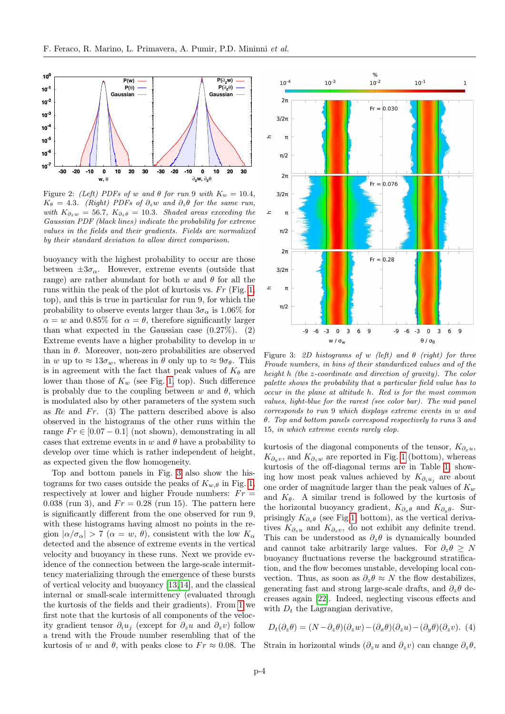

<span id="page-3-0"></span>Figure 2: (Left) PDFs of w and  $\theta$  for run 9 with  $K_w = 10.4$ ,  $K_{\theta} = 4.3.$  (Right) PDFs of  $\partial_z w$  and  $\partial_z \theta$  for the same run, with  $K_{\partial_z w} = 56.7$ ,  $K_{\partial_z \theta} = 10.3$ . Shaded areas exceeding the Gaussian PDF (black lines) indicate the probability for extreme values in the fields and their gradients. Fields are normalized by their standard deviation to allow direct comparison.

buoyancy with the highest probability to occur are those between  $\pm 3\sigma_{\alpha}$ . However, extreme events (outside that range) are rather abundant for both w and  $\theta$  for all the runs within the peak of the plot of kurtosis vs.  $Fr$  (Fig. [1,](#page-2-1) top), and this is true in particular for run 9, for which the probability to observe events larger than  $3\sigma_{\alpha}$  is 1.06% for  $\alpha = w$  and 0.85% for  $\alpha = \theta$ , therefore significantly larger than what expected in the Gaussian case  $(0.27\%)$ . (2) Extreme events have a higher probability to develop in  $w$ than in  $\theta$ . Moreover, non-zero probabilities are observed in w up to  $\approx 13\sigma_w$ , whereas in  $\theta$  only up to  $\approx 9\sigma_{\theta}$ . This is in agreement with the fact that peak values of  $K_{\theta}$  are lower than those of  $K_w$  (see Fig. [1,](#page-2-1) top). Such difference is probably due to the coupling between  $w$  and  $\theta$ , which is modulated also by other parameters of the system such as  $Re$  and  $Fr.$  (3) The pattern described above is also observed in the histograms of the other runs within the range  $Fr \in [0.07 - 0.1]$  (not shown), demonstrating in all cases that extreme events in w and  $\theta$  have a probability to develop over time which is rather independent of height, as expected given the flow homogeneity.

Top and bottom panels in Fig. [3](#page-3-1) also show the histograms for two cases outside the peaks of  $K_{w,\theta}$  in Fig. [1,](#page-2-1) respectively at lower and higher Froude numbers:  $Fr =$ 0.038 (run 3), and  $Fr = 0.28$  (run 15). The pattern here is significantly different from the one observed for run 9, with these histograms having almost no points in the region  $|\alpha/\sigma_{\alpha}| > 7$   $(\alpha = w, \theta)$ , consistent with the low  $K_{\alpha}$ detected and the absence of extreme events in the vertical velocity and buoyancy in these runs. Next we provide evidence of the connection between the large-scale intermittency materializing through the emergence of these bursts of vertical velocity and buoyancy [\[13,](#page-6-12)[14\]](#page-6-13), and the classical internal or small-scale intermittency (evaluated through the kurtosis of the fields and their gradients). From [1](#page-2-0) we first note that the kurtosis of all components of the velocity gradient tensor  $\partial_i u_j$  (except for  $\partial_z u$  and  $\partial_z v$ ) follow a trend with the Froude number resembling that of the kurtosis of w and  $\theta$ , with peaks close to  $Fr \approx 0.08$ . The



<span id="page-3-1"></span>Figure 3: 2D histograms of w (left) and  $\theta$  (right) for three Froude numbers, in bins of their standardized values and of the height h (the z-coordinate and direction of gravity). The color palette shows the probability that a particular field value has to occur in the plane at altitude h. Red is for the most common values, light-blue for the rarest (see color bar). The mid panel corresponds to run 9 which displays extreme events in w and θ. Top and bottom panels correspond respectively to runs 3 and 15, in which extreme events rarely elop.

kurtosis of the diagonal components of the tensor,  $K_{\partial_x u}$ ,  $K_{\partial_y v}$ , and  $K_{\partial_z w}$  are reported in Fig. [1](#page-2-1) (bottom), whereas kurtosis of the off-diagonal terms are in Table [1,](#page-2-0) showing how most peak values achieved by  $K_{\partial_i u_j}$  are about one order of magnitude larger than the peak values of  $K_w$ and  $K_{\theta}$ . A similar trend is followed by the kurtosis of the horizontal buoyancy gradient,  $K_{\partial_x \theta}$  and  $K_{\partial_y \theta}$ . Surprisingly  $K_{\partial_{x}\theta}$  (see Fig[.1,](#page-2-1) bottom), as the vertical derivatives  $K_{\partial_z u}$  and  $K_{\partial_z v}$ , do not exhibit any definite trend. This can be understood as  $\partial_z \theta$  is dynamically bounded and cannot take arbitrarily large values. For  $\partial_z \theta > N$ buoyancy fluctuations reverse the background stratification, and the flow becomes unstable, developing local convection. Thus, as soon as  $\partial_z \theta \approx N$  the flow destabilizes, generating fast and strong large-scale drafts, and  $\partial_z \theta$  decreases again [\[22\]](#page-6-20). Indeed, neglecting viscous effects and with  $D_t$  the Lagrangian derivative,

<span id="page-3-2"></span>
$$
D_t(\partial_z \theta) = (N - \partial_z \theta)(\partial_z w) - (\partial_x \theta)(\partial_z u) - (\partial_y \theta)(\partial_z v). \tag{4}
$$

Strain in horizontal winds  $(\partial_z u$  and  $\partial_z v)$  can change  $\partial_z \theta$ ,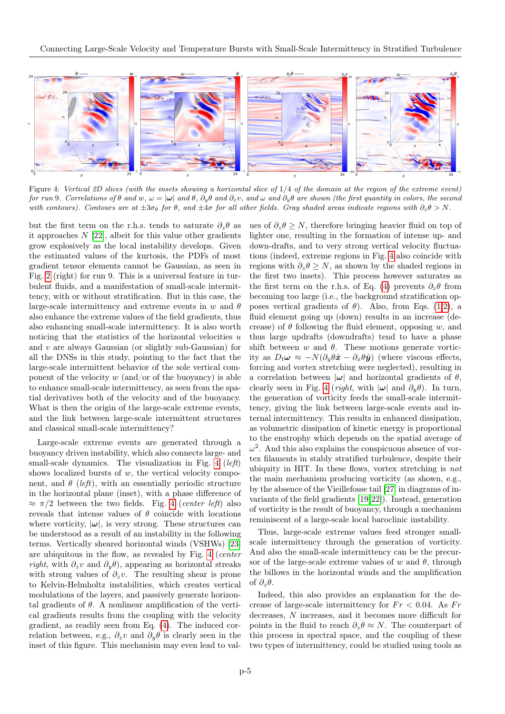

<span id="page-4-0"></span>Figure 4: Vertical 2D slices (with the insets showing a horizontal slice of  $1/4$  of the domain at the region of the extreme event) for run 9. Correlations of  $\theta$  and  $w, \omega = |\omega|$  and  $\theta, \partial_y \theta$  and  $\partial_z v$ , and  $\omega$  and  $\partial_y \theta$  are shown (the first quantity in colors, the second with contours). Contours are at  $\pm 3\sigma_\theta$  for  $\theta$ , and  $\pm 4\sigma$  for all other fields. Gray shaded areas indicate regions with  $\partial_z\theta > N$ .

but the first term on the r.h.s. tends to saturate  $\partial_z \theta$  as it approaches  $N$  [\[22\]](#page-6-20), albeit for this value other gradients grow explosively as the local instability develops. Given the estimated values of the kurtosis, the PDFs of most gradient tensor elements cannot be Gaussian, as seen in Fig. [2](#page-3-0) (right) for run 9. This is a universal feature in turbulent fluids, and a manifestation of small-scale intermittency, with or without stratification. But in this case, the large-scale intermittency and extreme events in w and  $\theta$ also enhance the extreme values of the field gradients, thus also enhancing small-scale intermittency. It is also worth noticing that the statistics of the horizontal velocities u and v are always Gaussian (or slightly sub-Gaussian) for all the DNSs in this study, pointing to the fact that the large-scale intermittent behavior of the sole vertical component of the velocity  $w$  (and/or of the buoyancy) is able to enhance small-scale intermittency, as seen from the spatial derivatives both of the velocity and of the buoyancy. What is then the origin of the large-scale extreme events, and the link between large-scale intermittent structures and classical small-scale intermittency?

Large-scale extreme events are generated through a buoyancy driven instability, which also connects large- and small-scale dynamics. The visualization in Fig. [4](#page-4-0) (*left*) shows localized bursts of  $w$ , the vertical velocity component, and  $\theta$  (left), with an essentially periodic structure in the horizontal plane (inset), with a phase difference of  $\approx \pi/2$  between the two fields. Fig. [4](#page-4-0) (center left) also reveals that intense values of  $\theta$  coincide with locations where vorticity,  $|\omega|$ , is very strong. These structures can be understood as a result of an instability in the following terms. Vertically sheared horizontal winds (VSHWs) [\[23\]](#page-6-21) are ubiquitous in the flow, as revealed by Fig. [4](#page-4-0) (center right, with  $\partial_z v$  and  $\partial_y \theta$ ), appearing as horizontal streaks with strong values of  $\partial_z v$ . The resulting shear is prone to Kelvin-Helmholtz instabilities, which creates vertical modulations of the layers, and passively generate horizontal gradients of  $\theta$ . A nonlinear amplification of the vertical gradients results from the coupling with the velocity gradient, as readily seen from Eq. [\(4\)](#page-3-2). The induced correlation between, e.g.,  $\partial_z v$  and  $\partial_y \theta$  is clearly seen in the inset of this figure. This mechanism may even lead to values of  $\partial_z \theta \geq N$ , therefore bringing heavier fluid on top of lighter one, resulting in the formation of intense up- and down-drafts, and to very strong vertical velocity fluctuations (indeed, extreme regions in Fig. [4](#page-4-0) also coincide with regions with  $\partial_z \theta \geq N$ , as shown by the shaded regions in the first two insets). This process however saturates as the first term on the r.h.s. of Eq. [\(4\)](#page-3-2) prevents  $\partial_z \theta$  from becoming too large (i.e., the background stratification opposes vertical gradients of  $\theta$ ). Also, from Eqs. [\(1,2\)](#page-1-0), a fluid element going up (down) results in an increase (decrease) of  $\theta$  following the fluid element, opposing w, and thus large updrafts (downdrafts) tend to have a phase shift between w and  $\theta$ . These motions generate vorticity as  $D_t \omega \approx -N(\partial_y \theta \hat{x} - \partial_x \theta \hat{y})$  (where viscous effects, forcing and vortex stretching were neglected), resulting in a correlation between  $|\omega|$  and horizontal gradients of  $\theta$ , clearly seen in Fig. [4](#page-4-0) (*right*, with  $|\omega|$  and  $\partial_y \theta$ ). In turn, the generation of vorticity feeds the small-scale intermittency, giving the link between large-scale events and internal intermittency. This results in enhanced dissipation, as volumetric dissipation of kinetic energy is proportional to the enstrophy which depends on the spatial average of  $\omega^2$ . And this also explains the conspicuous absence of vortex filaments in stably stratified turbulence, despite their ubiquity in HIT. In these flows, vortex stretching is not the main mechanism producing vorticity (as shown, e.g., by the absence of the Vieillefosse tail [\[27\]](#page-6-22) in diagrams of invariants of the field gradients [\[19,](#page-6-14)[22\]](#page-6-20)). Instead, generation of vorticity is the result of buoyancy, through a mechanism reminiscent of a large-scale local baroclinic instability.

Thus, large-scale extreme values feed stronger smallscale intermittency through the generation of vorticity. And also the small-scale intermittency can be the precursor of the large-scale extreme values of w and  $\theta$ , through the billows in the horizontal winds and the amplification of  $\partial_z \theta$ .

Indeed, this also provides an explanation for the decrease of large-scale intermittency for  $Fr < 0.04$ . As  $Fr$ decreases, N increases, and it becomes more difficult for points in the fluid to reach  $\partial_z \theta \approx N$ . The counterpart of this process in spectral space, and the coupling of these two types of intermittency, could be studied using tools as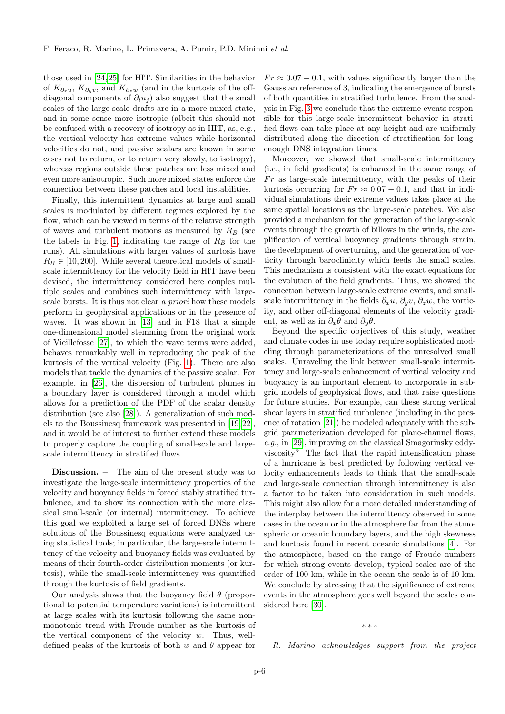those used in [\[24,](#page-6-23)[25\]](#page-6-24) for HIT. Similarities in the behavior of  $K_{\partial_x u}$ ,  $K_{\partial_y v}$ , and  $K_{\partial_y w}$  (and in the kurtosis of the offdiagonal components of  $\partial_i u_j$  also suggest that the small scales of the large-scale drafts are in a more mixed state, and in some sense more isotropic (albeit this should not be confused with a recovery of isotropy as in HIT, as, e.g., the vertical velocity has extreme values while horizontal velocities do not, and passive scalars are known in some cases not to return, or to return very slowly, to isotropy), whereas regions outside these patches are less mixed and even more anisotropic. Such more mixed states enforce the connection between these patches and local instabilities.

Finally, this intermittent dynamics at large and small scales is modulated by different regimes explored by the flow, which can be viewed in terms of the relative strength of waves and turbulent motions as measured by  $R_B$  (see the labels in Fig. [1,](#page-2-1) indicating the range of  $R_B$  for the runs). All simulations with larger values of kurtosis have  $R_B \in [10, 200]$ . While several theoretical models of smallscale intermittency for the velocity field in HIT have been devised, the intermittency considered here couples multiple scales and combines such intermittency with largescale bursts. It is thus not clear a priori how these models perform in geophysical applications or in the presence of waves. It was shown in [\[13\]](#page-6-12) and in F18 that a simple one-dimensional model stemming from the original work of Vieillefosse [\[27\]](#page-6-22), to which the wave terms were added, behaves remarkably well in reproducing the peak of the kurtosis of the vertical velocity (Fig. [1\)](#page-2-1). There are also models that tackle the dynamics of the passive scalar. For example, in [\[26\]](#page-6-25), the dispersion of turbulent plumes in a boundary layer is considered through a model which allows for a prediction of the PDF of the scalar density distribution (see also [\[28\]](#page-6-26)). A generalization of such models to the Boussinesq framework was presented in [\[19,](#page-6-14)[22\]](#page-6-20), and it would be of interest to further extend these models to properly capture the coupling of small-scale and largescale intermittency in stratified flows.

Discussion. – The aim of the present study was to investigate the large-scale intermittency properties of the velocity and buoyancy fields in forced stably stratified turbulence, and to show its connection with the more classical small-scale (or internal) intermittency. To achieve this goal we exploited a large set of forced DNSs where solutions of the Boussinesq equations were analyzed using statistical tools; in particular, the large-scale intermittency of the velocity and buoyancy fields was evaluated by means of their fourth-order distribution moments (or kurtosis), while the small-scale intermittency was quantified through the kurtosis of field gradients.

Our analysis shows that the buoyancy field  $\theta$  (proportional to potential temperature variations) is intermittent at large scales with its kurtosis following the same nonmonotonic trend with Froude number as the kurtosis of the vertical component of the velocity  $w$ . Thus, welldefined peaks of the kurtosis of both w and  $\theta$  appear for

 $Fr \approx 0.07 - 0.1$ , with values significantly larger than the Gaussian reference of 3, indicating the emergence of bursts of both quantities in stratified turbulence. From the analysis in Fig. [3](#page-3-1) we conclude that the extreme events responsible for this large-scale intermittent behavior in stratified flows can take place at any height and are uniformly distributed along the direction of stratification for longenough DNS integration times.

Moreover, we showed that small-scale intermittency (i.e., in field gradients) is enhanced in the same range of  $Fr$  as large-scale intermittency, with the peaks of their kurtosis occurring for  $Fr \approx 0.07 - 0.1$ , and that in individual simulations their extreme values takes place at the same spatial locations as the large-scale patches. We also provided a mechanism for the generation of the large-scale events through the growth of billows in the winds, the amplification of vertical buoyancy gradients through strain, the development of overturning, and the generation of vorticity through baroclinicity which feeds the small scales. This mechanism is consistent with the exact equations for the evolution of the field gradients. Thus, we showed the connection between large-scale extreme events, and smallscale intermittency in the fields  $\partial_x u$ ,  $\partial_y v$ ,  $\partial_z w$ , the vorticity, and other off-diagonal elements of the velocity gradient, as well as in  $\partial_x \theta$  and  $\partial_y \theta$ .

Beyond the specific objectives of this study, weather and climate codes in use today require sophisticated modeling through parameterizations of the unresolved small scales. Unraveling the link between small-scale intermittency and large-scale enhancement of vertical velocity and buoyancy is an important element to incorporate in subgrid models of geophysical flows, and that raise questions for future studies. For example, can these strong vertical shear layers in stratified turbulence (including in the presence of rotation [\[21\]](#page-6-16)) be modeled adequately with the subgrid parameterization developed for plane-channel flows, e.g., in [\[29\]](#page-6-27), improving on the classical Smagorinsky eddyviscosity? The fact that the rapid intensification phase of a hurricane is best predicted by following vertical velocity enhancements leads to think that the small-scale and large-scale connection through intermittency is also a factor to be taken into consideration in such models. This might also allow for a more detailed understanding of the interplay between the intermittency observed in some cases in the ocean or in the atmosphere far from the atmospheric or oceanic boundary layers, and the high skewness and kurtosis found in recent oceanic simulations [\[4\]](#page-6-3). For the atmosphere, based on the range of Froude numbers for which strong events develop, typical scales are of the order of 100 km, while in the ocean the scale is of 10 km. We conclude by stressing that the significance of extreme events in the atmosphere goes well beyond the scales considered here [\[30\]](#page-6-28).

∗ ∗ ∗

R. Marino acknowledges support from the project